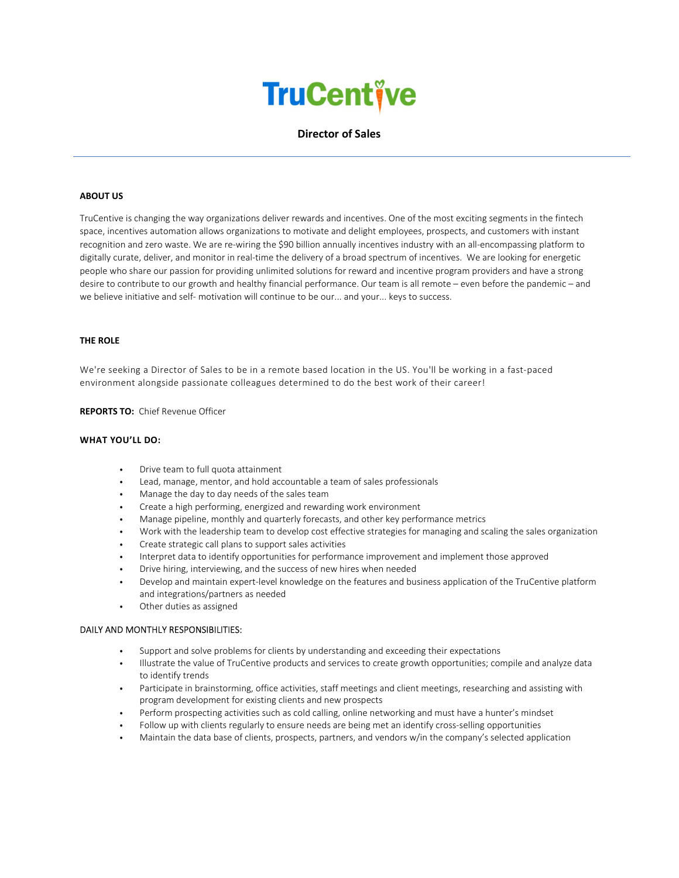# **TruCentive**

# Director of Sales

#### ABOUT US

TruCentive is changing the way organizations deliver rewards and incentives. One of the most exciting segments in the fintech space, incentives automation allows organizations to motivate and delight employees, prospects, and customers with instant recognition and zero waste. We are re-wiring the \$90 billion annually incentives industry with an all-encompassing platform to digitally curate, deliver, and monitor in real-time the delivery of a broad spectrum of incentives. We are looking for energetic people who share our passion for providing unlimited solutions for reward and incentive program providers and have a strong desire to contribute to our growth and healthy financial performance. Our team is all remote – even before the pandemic – and we believe initiative and self- motivation will continue to be our... and your... keys to success.

#### THE ROLE

We're seeking a Director of Sales to be in a remote based location in the US. You'll be working in a fast-paced environment alongside passionate colleagues determined to do the best work of their career!

REPORTS TO: Chief Revenue Officer

### WHAT YOU'LL DO:

- Drive team to full quota attainment
- Lead, manage, mentor, and hold accountable a team of sales professionals
- Manage the day to day needs of the sales team
- Create a high performing, energized and rewarding work environment
- Manage pipeline, monthly and quarterly forecasts, and other key performance metrics
- Work with the leadership team to develop cost effective strategies for managing and scaling the sales organization
- Create strategic call plans to support sales activities
- Interpret data to identify opportunities for performance improvement and implement those approved
- Drive hiring, interviewing, and the success of new hires when needed
- Develop and maintain expert-level knowledge on the features and business application of the TruCentive platform and integrations/partners as needed
- Other duties as assigned

#### DAILY AND MONTHLY RESPONSIBILITIES:

- Support and solve problems for clients by understanding and exceeding their expectations
- Illustrate the value of TruCentive products and services to create growth opportunities; compile and analyze data to identify trends
- Participate in brainstorming, office activities, staff meetings and client meetings, researching and assisting with program development for existing clients and new prospects
- Perform prospecting activities such as cold calling, online networking and must have a hunter's mindset
- Follow up with clients regularly to ensure needs are being met an identify cross-selling opportunities
- Maintain the data base of clients, prospects, partners, and vendors w/in the company's selected application